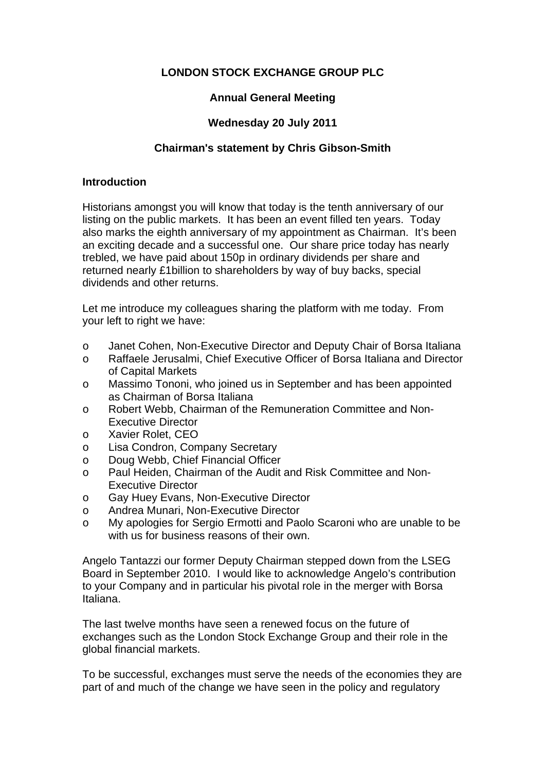# **LONDON STOCK EXCHANGE GROUP PLC**

## **Annual General Meeting**

## **Wednesday 20 July 2011**

## **Chairman's statement by Chris Gibson-Smith**

#### **Introduction**

Historians amongst you will know that today is the tenth anniversary of our listing on the public markets. It has been an event filled ten years. Today also marks the eighth anniversary of my appointment as Chairman. It's been an exciting decade and a successful one. Our share price today has nearly trebled, we have paid about 150p in ordinary dividends per share and returned nearly £1billion to shareholders by way of buy backs, special dividends and other returns.

Let me introduce my colleagues sharing the platform with me today. From your left to right we have:

- o Janet Cohen, Non-Executive Director and Deputy Chair of Borsa Italiana
- o Raffaele Jerusalmi, Chief Executive Officer of Borsa Italiana and Director of Capital Markets
- o Massimo Tononi, who joined us in September and has been appointed as Chairman of Borsa Italiana
- o Robert Webb, Chairman of the Remuneration Committee and Non-Executive Director
- o Xavier Rolet, CEO
- o Lisa Condron, Company Secretary
- o Doug Webb, Chief Financial Officer
- o Paul Heiden, Chairman of the Audit and Risk Committee and Non-Executive Director
- o Gay Huey Evans, Non-Executive Director
- o Andrea Munari, Non-Executive Director
- o My apologies for Sergio Ermotti and Paolo Scaroni who are unable to be with us for business reasons of their own.

Angelo Tantazzi our former Deputy Chairman stepped down from the LSEG Board in September 2010. I would like to acknowledge Angelo's contribution to your Company and in particular his pivotal role in the merger with Borsa Italiana.

The last twelve months have seen a renewed focus on the future of exchanges such as the London Stock Exchange Group and their role in the global financial markets.

To be successful, exchanges must serve the needs of the economies they are part of and much of the change we have seen in the policy and regulatory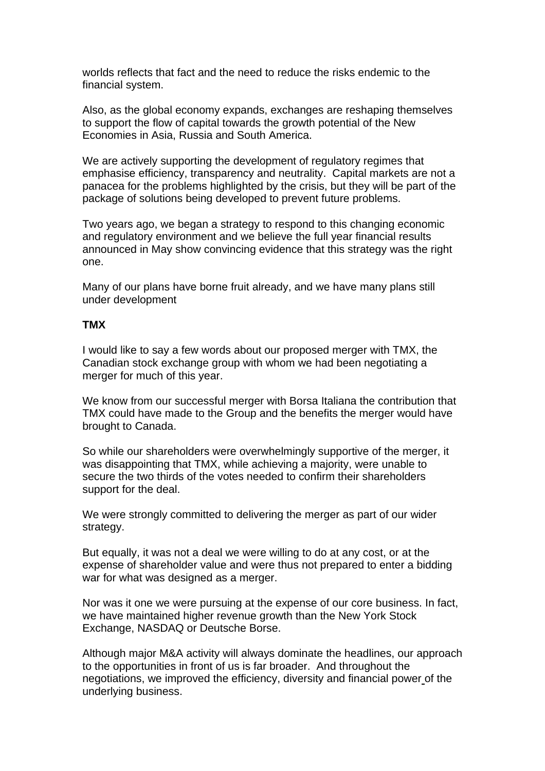worlds reflects that fact and the need to reduce the risks endemic to the financial system.

Also, as the global economy expands, exchanges are reshaping themselves to support the flow of capital towards the growth potential of the New Economies in Asia, Russia and South America.

We are actively supporting the development of regulatory regimes that emphasise efficiency, transparency and neutrality. Capital markets are not a panacea for the problems highlighted by the crisis, but they will be part of the package of solutions being developed to prevent future problems.

Two years ago, we began a strategy to respond to this changing economic and regulatory environment and we believe the full year financial results announced in May show convincing evidence that this strategy was the right one.

Many of our plans have borne fruit already, and we have many plans still under development

### **TMX**

I would like to say a few words about our proposed merger with TMX, the Canadian stock exchange group with whom we had been negotiating a merger for much of this year.

We know from our successful merger with Borsa Italiana the contribution that TMX could have made to the Group and the benefits the merger would have brought to Canada.

So while our shareholders were overwhelmingly supportive of the merger, it was disappointing that TMX, while achieving a majority, were unable to secure the two thirds of the votes needed to confirm their shareholders support for the deal.

We were strongly committed to delivering the merger as part of our wider strategy.

But equally, it was not a deal we were willing to do at any cost, or at the expense of shareholder value and were thus not prepared to enter a bidding war for what was designed as a merger.

Nor was it one we were pursuing at the expense of our core business. In fact, we have maintained higher revenue growth than the New York Stock Exchange, NASDAQ or Deutsche Borse.

Although major M&A activity will always dominate the headlines, our approach to the opportunities in front of us is far broader. And throughout the negotiations, we improved the efficiency, diversity and financial power of the underlying business.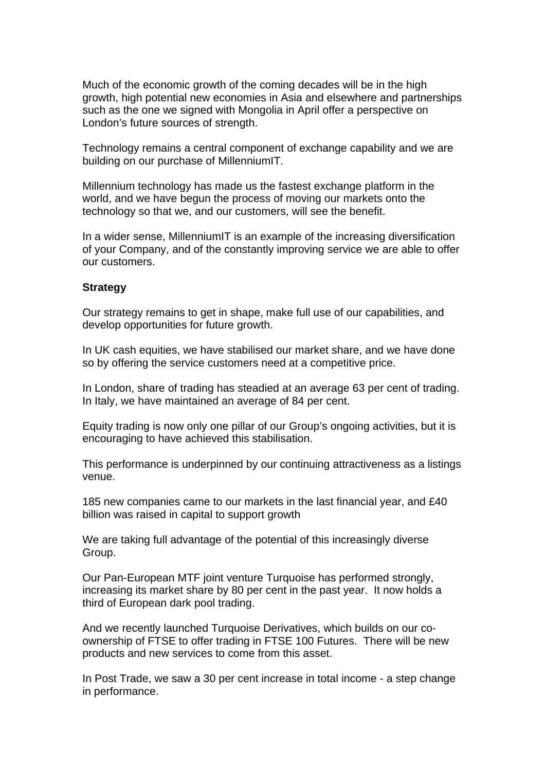Much of the economic growth of the coming decades will be in the high growth, high potential new economies in Asia and elsewhere and partnerships such as the one we signed with Mongolia in April offer a perspective on London's future sources of strength.

Technology remains a central component of exchange capability and we are building on our purchase of MillenniumIT.

Millennium technology has made us the fastest exchange platform in the world, and we have begun the process of moving our markets onto the technology so that we, and our customers, will see the benefit.

In a wider sense, MillenniumIT is an example of the increasing diversification of your Company, and of the constantly improving service we are able to offer our customers.

#### **Strategy**

Our strategy remains to get in shape, make full use of our capabilities, and develop opportunities for future growth.

In UK cash equities, we have stabilised our market share, and we have done so by offering the service customers need at a competitive price.

In London, share of trading has steadied at an average 63 per cent of trading. In Italy, we have maintained an average of 84 per cent.

Equity trading is now only one pillar of our Group's ongoing activities, but it is encouraging to have achieved this stabilisation.

This performance is underpinned by our continuing attractiveness as a listings venue.

185 new companies came to our markets in the last financial year, and £40 billion was raised in capital to support growth

We are taking full advantage of the potential of this increasingly diverse Group.

Our Pan-European MTF joint venture Turquoise has performed strongly, increasing its market share by 80 per cent in the past year. It now holds a third of European dark pool trading.

And we recently launched Turquoise Derivatives, which builds on our coownership of FTSE to offer trading in FTSE 100 Futures. There will be new products and new services to come from this asset.

In Post Trade, we saw a 30 per cent increase in total income - a step change in performance.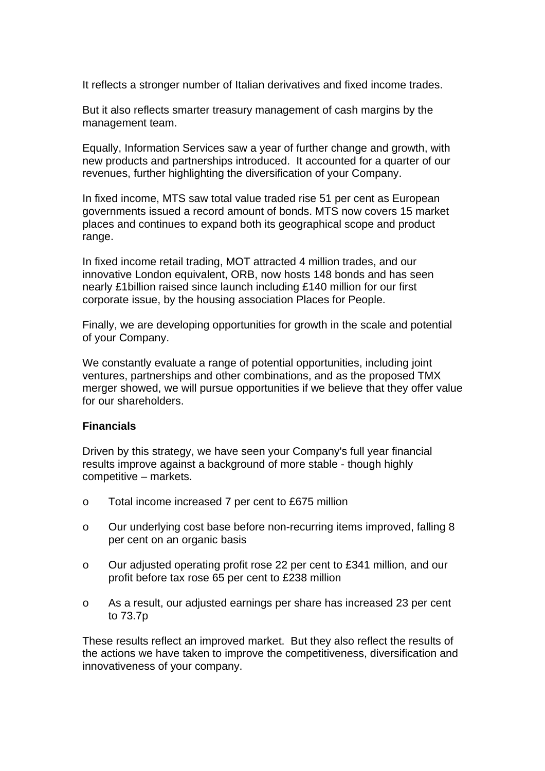It reflects a stronger number of Italian derivatives and fixed income trades.

But it also reflects smarter treasury management of cash margins by the management team.

Equally, Information Services saw a year of further change and growth, with new products and partnerships introduced. It accounted for a quarter of our revenues, further highlighting the diversification of your Company.

In fixed income, MTS saw total value traded rise 51 per cent as European governments issued a record amount of bonds. MTS now covers 15 market places and continues to expand both its geographical scope and product range.

In fixed income retail trading, MOT attracted 4 million trades, and our innovative London equivalent, ORB, now hosts 148 bonds and has seen nearly £1billion raised since launch including £140 million for our first corporate issue, by the housing association Places for People.

Finally, we are developing opportunities for growth in the scale and potential of your Company.

We constantly evaluate a range of potential opportunities, including joint ventures, partnerships and other combinations, and as the proposed TMX merger showed, we will pursue opportunities if we believe that they offer value for our shareholders.

### **Financials**

Driven by this strategy, we have seen your Company's full year financial results improve against a background of more stable - though highly competitive – markets.

- o Total income increased 7 per cent to £675 million
- o Our underlying cost base before non-recurring items improved, falling 8 per cent on an organic basis
- o Our adjusted operating profit rose 22 per cent to £341 million, and our profit before tax rose 65 per cent to £238 million
- o As a result, our adjusted earnings per share has increased 23 per cent to 73.7p

These results reflect an improved market. But they also reflect the results of the actions we have taken to improve the competitiveness, diversification and innovativeness of your company.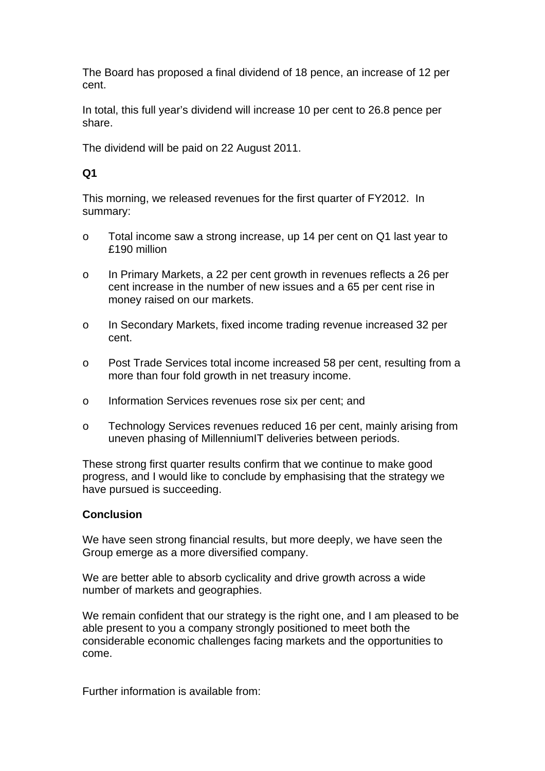The Board has proposed a final dividend of 18 pence, an increase of 12 per cent.

In total, this full year's dividend will increase 10 per cent to 26.8 pence per share.

The dividend will be paid on 22 August 2011.

# **Q1**

This morning, we released revenues for the first quarter of FY2012. In summary:

- o Total income saw a strong increase, up 14 per cent on Q1 last year to £190 million
- o In Primary Markets, a 22 per cent growth in revenues reflects a 26 per cent increase in the number of new issues and a 65 per cent rise in money raised on our markets.
- o In Secondary Markets, fixed income trading revenue increased 32 per cent.
- o Post Trade Services total income increased 58 per cent, resulting from a more than four fold growth in net treasury income.
- o Information Services revenues rose six per cent; and
- o Technology Services revenues reduced 16 per cent, mainly arising from uneven phasing of MillenniumIT deliveries between periods.

These strong first quarter results confirm that we continue to make good progress, and I would like to conclude by emphasising that the strategy we have pursued is succeeding.

## **Conclusion**

We have seen strong financial results, but more deeply, we have seen the Group emerge as a more diversified company.

We are better able to absorb cyclicality and drive growth across a wide number of markets and geographies.

We remain confident that our strategy is the right one, and I am pleased to be able present to you a company strongly positioned to meet both the considerable economic challenges facing markets and the opportunities to come.

Further information is available from: